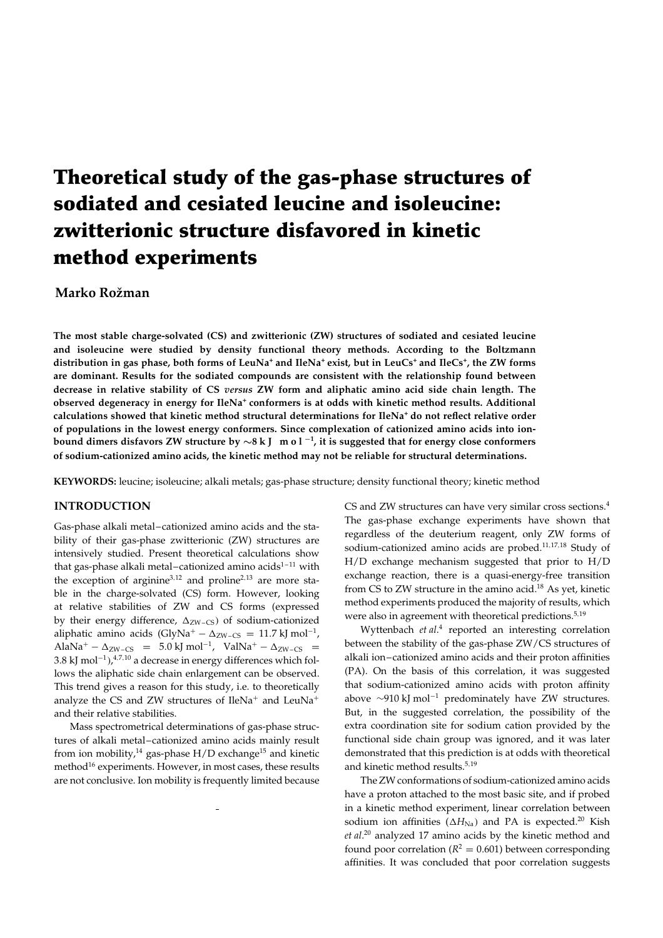# **Theoretical study of the gas-phase structures of sodiated and cesiated leucine and isoleucine: zwitterionic structure disfavored in kinetic method experiments**

## **Marko Rožman**

**The most stable charge-solvated (CS) and zwitterionic (ZW) structures of sodiated and cesiated leucine and isoleucine were studied by density functional theory methods. According to the Boltzmann** distribution in gas phase, both forms of LeuNa<sup>+</sup> and IleNa<sup>+</sup> exist, but in LeuCs<sup>+</sup> and IleCs<sup>+</sup>, the ZW forms **are dominant. Results for the sodiated compounds are consistent with the relationship found between decrease in relative stability of CS** *versus* **ZW form and aliphatic amino acid side chain length. The observed degeneracy in energy for IleNa<sup>+</sup> conformers is at odds with kinetic method results. Additional calculations showed that kinetic method structural determinations for IleNa<sup>+</sup> do not reflect relative order of populations in the lowest energy conformers. Since complexation of cationized amino acids into ion**bound dimers disfavors ZW structure by  $\sim$ 8 k J  $\,$  m o l  $^{-1}$ , it is suggested that for energy close conformers **of sodium-cationized amino acids, the kinetic method may not be reliable for structural determinations.**

**KEYWORDS:** leucine; isoleucine; alkali metals; gas-phase structure; density functional theory; kinetic method

#### **INTRODUCTION**

Gas-phase alkali metal–cationized amino acids and the stability of their gas-phase zwitterionic (ZW) structures are intensively studied. Present theoretical calculations show that gas-phase alkali metal–cationized amino acids $1-11$  with the exception of arginine<sup>3,12</sup> and proline<sup>2,13</sup> are more stable in the charge-solvated (CS) form. However, looking at relative stabilities of ZW and CS forms (expressed by their energy difference,  $\Delta_{\rm ZW-CS}$ ) of sodium-cationized aliphatic amino acids  $(GlyNa<sup>+</sup> - \Delta_{ZW-CS} = 11.7$  kJ mol<sup>-1</sup>,  $A$ laNa<sup>+</sup> –  $\Delta$ <sub>ZW-CS</sub> = 5.0 kJ mol<sup>-1</sup>, ValNa<sup>+</sup> –  $\Delta$ <sub>ZW-CS</sub> = 3.8 kJ mol $^{-1}$ ), $^{4,7,10}$  a decrease in energy differences which follows the aliphatic side chain enlargement can be observed. This trend gives a reason for this study, i.e. to theoretically analyze the CS and ZW structures of  $IleNa<sup>+</sup>$  and LeuNa<sup>+</sup> and their relative stabilities.

Mass spectrometrical determinations of gas-phase structures of alkali metal–cationized amino acids mainly result from ion mobility,<sup>14</sup> gas-phase  $H/D$  exchange<sup>15</sup> and kinetic method<sup>16</sup> experiments. However, in most cases, these results are not conclusive. Ion mobility is frequently limited because CS and ZW structures can have very similar cross sections.<sup>4</sup> The gas-phase exchange experiments have shown that regardless of the deuterium reagent, only ZW forms of sodium-cationized amino acids are probed.<sup>11,17,18</sup> Study of H/D exchange mechanism suggested that prior to H/D exchange reaction, there is a quasi-energy-free transition from CS to ZW structure in the amino acid. $^{18}$  As yet, kinetic method experiments produced the majority of results, which were also in agreement with theoretical predictions.<sup>5,19</sup>

Wyttenbach *et al*. <sup>4</sup> reported an interesting correlation between the stability of the gas-phase ZW/CS structures of alkali ion–cationized amino acids and their proton affinities (PA). On the basis of this correlation, it was suggested that sodium-cationized amino acids with proton affinity above  $\sim$ 910 kJ mol<sup>-1</sup> predominately have ZW structures. But, in the suggested correlation, the possibility of the extra coordination site for sodium cation provided by the functional side chain group was ignored, and it was later demonstrated that this prediction is at odds with theoretical and kinetic method results.<sup>5,19</sup>

The ZW conformations of sodium-cationized amino acids have a proton attached to the most basic site, and if probed in a kinetic method experiment, linear correlation between sodium ion affinities  $(\Delta H_{\text{Na}})$  and PA is expected.<sup>20</sup> Kish *et al*. <sup>20</sup> analyzed 17 amino acids by the kinetic method and found poor correlation ( $R^2 = 0.601$ ) between corresponding affinities. It was concluded that poor correlation suggests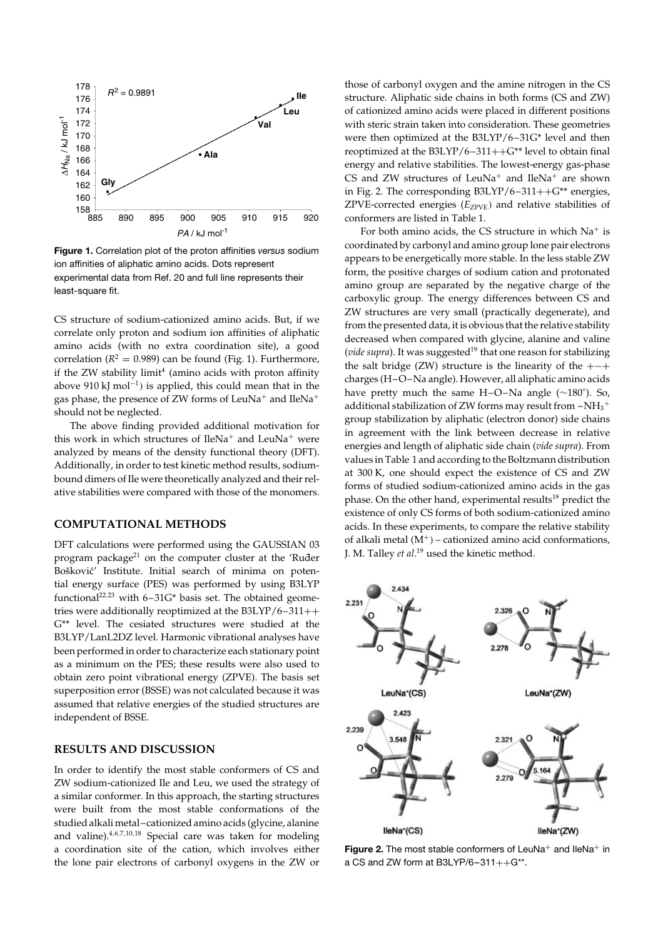

**Figure 1.** Correlation plot of the proton affinities *versus* sodium ion affinities of aliphatic amino acids. Dots represent experimental data from Ref. 20 and full line represents their least-square fit.

CS structure of sodium-cationized amino acids. But, if we correlate only proton and sodium ion affinities of aliphatic amino acids (with no extra coordination site), a good correlation ( $R^2 = 0.989$ ) can be found (Fig. 1). Furthermore, if the ZW stability limit $4$  (amino acids with proton affinity above 910 kJ mol<sup>-1</sup>) is applied, this could mean that in the gas phase, the presence of ZW forms of LeuNa<sup>+</sup> and IleNa<sup>+</sup> should not be neglected.

The above finding provided additional motivation for this work in which structures of IleNa<sup>+</sup> and LeuNa<sup>+</sup> were analyzed by means of the density functional theory (DFT). Additionally, in order to test kinetic method results, sodiumbound dimers of Ile were theoretically analyzed and their relative stabilities were compared with those of the monomers.

#### **COMPUTATIONAL METHODS**

DFT calculations were performed using the GAUSSIAN 03 program package<sup>21</sup> on the computer cluster at the 'Ruder Bošković' Institute. Initial search of minima on potential energy surface (PES) was performed by using B3LYP functional<sup>22,23</sup> with  $6-31G*$  basis set. The obtained geometries were additionally reoptimized at the  $B3LYP/6-311++$ G\*\* level. The cesiated structures were studied at the B3LYP/LanL2DZ level. Harmonic vibrational analyses have been performed in order to characterize each stationary point as a minimum on the PES; these results were also used to obtain zero point vibrational energy (ZPVE). The basis set superposition error (BSSE) was not calculated because it was assumed that relative energies of the studied structures are independent of BSSE.

### **RESULTS AND DISCUSSION**

In order to identify the most stable conformers of CS and ZW sodium-cationized Ile and Leu, we used the strategy of a similar conformer. In this approach, the starting structures were built from the most stable conformations of the studied alkali metal–cationized amino acids (glycine, alanine and valine).4,6,7,10,<sup>18</sup> Special care was taken for modeling a coordination site of the cation, which involves either the lone pair electrons of carbonyl oxygens in the ZW or those of carbonyl oxygen and the amine nitrogen in the CS structure. Aliphatic side chains in both forms (CS and ZW) of cationized amino acids were placed in different positions with steric strain taken into consideration. These geometries were then optimized at the B3LYP/6–31G\* level and then reoptimized at the B3LYP/6-311++ $G^{**}$  level to obtain final energy and relative stabilities. The lowest-energy gas-phase CS and ZW structures of LeuNa<sup>+</sup> and IleNa<sup>+</sup> are shown in Fig. 2. The corresponding  $B3LYP/6-311++G^{**}$  energies, ZPVE-corrected energies (E<sub>ZPVE</sub>) and relative stabilities of conformers are listed in Table 1.

For both amino acids, the CS structure in which  $Na<sup>+</sup>$  is coordinated by carbonyl and amino group lone pair electrons appears to be energetically more stable. In the less stable ZW form, the positive charges of sodium cation and protonated amino group are separated by the negative charge of the carboxylic group. The energy differences between CS and ZW structures are very small (practically degenerate), and from the presented data, it is obvious that the relative stability decreased when compared with glycine, alanine and valine (*vide supra*). It was suggested<sup>19</sup> that one reason for stabilizing the salt bridge (ZW) structure is the linearity of the  $+-+$ charges (H–O–Na angle). However, all aliphatic amino acids have pretty much the same H–O–Na angle  $(\sim 180^{\circ})$ . So, additional stabilization of ZW forms may result from  $-\mathrm{NH_3}^+$ group stabilization by aliphatic (electron donor) side chains in agreement with the link between decrease in relative energies and length of aliphatic side chain (*vide supra*). From values in Table 1 and according to the Boltzmann distribution at 300 K, one should expect the existence of CS and ZW forms of studied sodium-cationized amino acids in the gas phase. On the other hand, experimental results<sup>19</sup> predict the existence of only CS forms of both sodium-cationized amino acids. In these experiments, to compare the relative stability of alkali metal  $(M^+)$  – cationized amino acid conformations, J. M. Talley *et al*. <sup>19</sup> used the kinetic method.



**Figure 2.** The most stable conformers of LeuNa<sup>+</sup> and IleNa<sup>+</sup> in a CS and ZW form at B3LYP/6-311++ $G^*$ .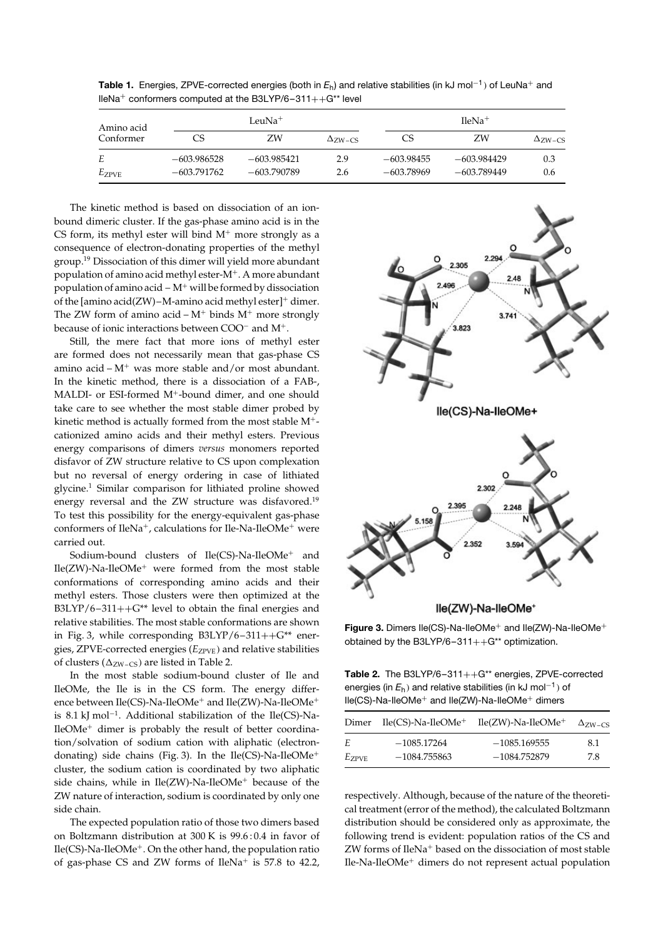| Amino acid<br>Conformer | LeuNa <sup>+</sup> |               |                | $HeNa+$      |               |                |
|-------------------------|--------------------|---------------|----------------|--------------|---------------|----------------|
|                         | CS                 | ZW            | $\Delta$ zw-cs | CS           | ΖW            | $\Delta$ zw-cs |
| Е                       | $-603.986528$      | $-603.985421$ | 2.9            | $-603.98455$ | $-603.984429$ | 0.3            |
| $E_{ZPVE}$              | $-603.791762$      | -603.790789   | 2.6            | -603.78969   | $-603.789449$ | 0.6            |

**Table 1.** Energies, ZPVE-corrected energies (both in  $E_h$ ) and relative stabilities (in kJ mol<sup>-1</sup>) of LeuNa<sup>+</sup> and IleNa<sup>+</sup> conformers computed at the B3LYP/6-311++G\*\* level

The kinetic method is based on dissociation of an ionbound dimeric cluster. If the gas-phase amino acid is in the CS form, its methyl ester will bind  $M^+$  more strongly as a consequence of electron-donating properties of the methyl group.19 Dissociation of this dimer will yield more abundant population of amino acid methyl ester- $M^+$ . A more abundant population of amino acid –  $M^+$  will be formed by dissociation of the [amino acid(ZW)–M-amino acid methyl ester]<sup>+</sup> dimer. The ZW form of amino acid –  $M^+$  binds  $M^+$  more strongly because of ionic interactions between  $COO<sup>-</sup>$  and  $M<sup>+</sup>$ .

Still, the mere fact that more ions of methyl ester are formed does not necessarily mean that gas-phase CS amino acid –  $M^+$  was more stable and/or most abundant. In the kinetic method, there is a dissociation of a FAB-, MALDI- or ESI-formed  $M^+$ -bound dimer, and one should take care to see whether the most stable dimer probed by kinetic method is actually formed from the most stable  $M^+$ cationized amino acids and their methyl esters. Previous energy comparisons of dimers *versus* monomers reported disfavor of ZW structure relative to CS upon complexation but no reversal of energy ordering in case of lithiated glycine.1 Similar comparison for lithiated proline showed energy reversal and the ZW structure was disfavored.<sup>19</sup> To test this possibility for the energy-equivalent gas-phase conformers of IleNa<sup>+</sup>, calculations for Ile-Na-IleOMe<sup>+</sup> were carried out.

Sodium-bound clusters of  $Ile(CS)$ -Na- $IleOMe^+$  and  $Ile(ZW)$ -Na-IleOMe<sup>+</sup> were formed from the most stable conformations of corresponding amino acids and their methyl esters. Those clusters were then optimized at the B3LYP/6–311++ $G^{**}$  level to obtain the final energies and relative stabilities. The most stable conformations are shown in Fig. 3, while corresponding  $B3LYP/6-311++G^{**}$  energies*,* ZPVE-corrected energies ( $E_{ZPVE}$ ) and relative stabilities of clusters ( $\Delta$ <sub>ZW-CS</sub>) are listed in Table 2.

In the most stable sodium-bound cluster of Ile and IleOMe, the Ile is in the CS form. The energy difference between  $\text{I}$ le(CS)-Na-IleOMe<sup>+</sup> and  $\text{I}$ le(ZW)-Na-IleOMe<sup>+</sup> is 8.1 kJ mol<sup>-1</sup>. Additional stabilization of the Ile(CS)-Na- $I$ le $OMe<sup>+</sup>$  dimer is probably the result of better coordination/solvation of sodium cation with aliphatic (electrondonating) side chains (Fig. 3). In the Ile(CS)-Na-IleOMe<sup>+</sup> cluster, the sodium cation is coordinated by two aliphatic side chains, while in  $Ile(ZW)$ -Na-IleOMe<sup>+</sup> because of the ZW nature of interaction, sodium is coordinated by only one side chain.

The expected population ratio of those two dimers based on Boltzmann distribution at 300 K is 99.6 : 0.4 in favor of  $Ile(CS)$ -Na-IleOMe<sup>+</sup>. On the other hand, the population ratio of gas-phase CS and ZW forms of  $IleNa<sup>+</sup>$  is 57.8 to 42.2,



lle(ZW)-Na-lleOMe<sup>+</sup>

**Figure 3.** Dimers Ile(CS)-Na-IleOMe<sup>+</sup> and Ile(ZW)-Na-IleOMe<sup>+</sup> obtained by the B3LYP/6-311++ $G^{**}$  optimization.

Table 2. The B3LYP/6-311++G\*\* energies, ZPVE-corrected energies (in  $E_{\sf h}$ ) and relative stabilities (in kJ mol $^{-1}$ ) of  $lle(CS)-Na-lleOMe^+$  and  $lle(ZW)-Na-lleOMe^+$  dimers

| Dimer      | $Ile(CS)$ -Na- $IleOMe^+$ | $Ile(ZW)$ -Na- $IleOMe^+$ | $\Delta$ zw-cs |
|------------|---------------------------|---------------------------|----------------|
| F.         | $-1085.17264$             | $-1085.169555$            | 8.1            |
| $E_{ZPVE}$ | $-1084.755863$            | $-1084.752879$            | 7.8            |

respectively. Although, because of the nature of the theoretical treatment (error of the method), the calculated Boltzmann distribution should be considered only as approximate, the following trend is evident: population ratios of the CS and  $ZW$  forms of  $IleNa<sup>+</sup>$  based on the dissociation of most stable  $I$ le-Na-Ile $OMe^+$  dimers do not represent actual population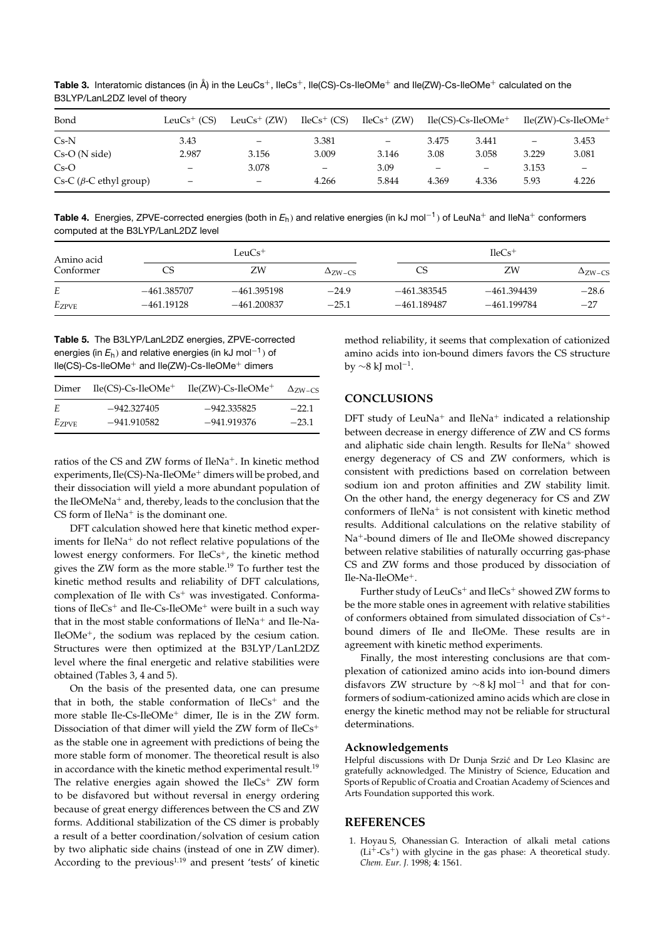Table 3. Interatomic distances (in Å) in the LeuCs<sup>+</sup>, IleCs<sup>+</sup>, Ile(CS)-Cs-IleOMe<sup>+</sup> and Ile(ZW)-Cs-IleOMe<sup>+</sup> calculated on the B3LYP/LanL2DZ level of theory

| Bond                           | Leu $Cs^+$ (CS)              | Leu $Cs^+$ (ZW)          | $IleCs^{+}$ (CS)         | $IleCs^{+}$ (ZW)  |                 | $Ile(CS)-Cs-IleOMe^+$ |                          | $Ile(ZW)$ -Cs- $IleOMe^+$ |
|--------------------------------|------------------------------|--------------------------|--------------------------|-------------------|-----------------|-----------------------|--------------------------|---------------------------|
| $Cs-N$                         | 3.43                         | $\overline{\phantom{m}}$ | 3.381                    | $\qquad \qquad -$ | 3.475           | 3.441                 | $\overline{\phantom{m}}$ | 3.453                     |
| $Cs-O(Nside)$                  | 2.987                        | 3.156                    | 3.009                    | 3.146             | 3.08            | 3.058                 | 3.229                    | 3.081                     |
| $Cs-O$                         | $\overline{\phantom{0}}$     | 3.078                    | $\overline{\phantom{0}}$ | 3.09              | $\qquad \qquad$ | —                     | 3.153                    | -                         |
| Cs-C ( $\beta$ -C ethyl group) | $\qquad \qquad \blacksquare$ | -                        | 4.266                    | 5.844             | 4.369           | 4.336                 | 5.93                     | 4.226                     |

Table 4. Energies, ZPVE-corrected energies (both in  $E_h$ ) and relative energies (in kJ mol<sup>-1</sup>) of LeuNa<sup>+</sup> and lleNa<sup>+</sup> conformers computed at the B3LYP/LanL2DZ level

| Amino acid<br>Conformer | LeuCs <sup>+</sup> |               |                | $HeCs+$       |               |                |
|-------------------------|--------------------|---------------|----------------|---------------|---------------|----------------|
|                         | CS                 | ZW            | $\Delta$ zw-cs | CS            | ZW            | $\Delta$ zw-cs |
| Е                       | $-461.385707$      | $-461.395198$ | $-24.9$        | $-461.383545$ | $-461.394439$ | $-28.6$        |
| $E_{ZPVE}$              | $-461.19128$       | $-461.200837$ | $-25.1$        | -461.189487   | -461.199784   | $-27$          |

Table 5. The B3LYP/LanL2DZ energies, ZPVE-corrected energies (in  $E_h$ ) and relative energies (in kJ mol<sup>-1</sup>) of Ile(CS)-Cs-IleOMe<sup>+</sup> and Ile(ZW)-Cs-IleOMe<sup>+</sup> dimers

| Dimer      | $Ile(CS)-Cs-IleOMe+$ | $Ile(ZW)$ -Cs- $IleOMe^+$ | $\Delta$ zw <sub>-CS</sub> |
|------------|----------------------|---------------------------|----------------------------|
| E.         | $-942.327405$        | $-942.335825$             | $-22.1$                    |
| $E_{ZPVE}$ | $-941.910582$        | -941.919376               | $-23.1$                    |

ratios of the CS and ZW forms of IleNa<sup>+</sup>. In kinetic method experiments, Ile(CS)-Na-IleOMe<sup>+</sup> dimers will be probed, and their dissociation will yield a more abundant population of the IleOMeNa<sup>+</sup> and, thereby, leads to the conclusion that the CS form of  $IleNa<sup>+</sup>$  is the dominant one.

DFT calculation showed here that kinetic method experiments for IleNa<sup>+</sup> do not reflect relative populations of the lowest energy conformers. For IleCs<sup>+</sup>, the kinetic method gives the ZW form as the more stable.<sup>19</sup> To further test the kinetic method results and reliability of DFT calculations, complexation of Ile with Cs<sup>+</sup> was investigated. Conformations of  $IleCs<sup>+</sup>$  and  $IleCs-IleOMe<sup>+</sup>$  were built in a such way that in the most stable conformations of IleNa<sup>+</sup> and Ile-Na-IleOMe<sup>+</sup>, the sodium was replaced by the cesium cation. Structures were then optimized at the B3LYP/LanL2DZ level where the final energetic and relative stabilities were obtained (Tables 3, 4 and 5).

On the basis of the presented data, one can presume that in both, the stable conformation of IleCs<sup>+</sup> and the more stable Ile-Cs-IleOMe<sup>+</sup> dimer, Ile is in the ZW form. Dissociation of that dimer will yield the ZW form of IleCs<sup>+</sup> as the stable one in agreement with predictions of being the more stable form of monomer. The theoretical result is also in accordance with the kinetic method experimental result.<sup>19</sup> The relative energies again showed the IleCs<sup>+</sup> ZW form to be disfavored but without reversal in energy ordering because of great energy differences between the CS and ZW forms. Additional stabilization of the CS dimer is probably a result of a better coordination/solvation of cesium cation by two aliphatic side chains (instead of one in ZW dimer). According to the previous<sup>1,19</sup> and present 'tests' of kinetic

method reliability, it seems that complexation of cationized amino acids into ion-bound dimers favors the CS structure by  $\sim$ 8 kJ mol<sup>-1</sup>.

### **CONCLUSIONS**

DFT study of LeuNa<sup>+</sup> and IleNa<sup>+</sup> indicated a relationship between decrease in energy difference of ZW and CS forms and aliphatic side chain length. Results for IleNa<sup>+</sup> showed energy degeneracy of CS and ZW conformers, which is consistent with predictions based on correlation between sodium ion and proton affinities and ZW stability limit. On the other hand, the energy degeneracy for CS and ZW conformers of IleNa<sup>+</sup> is not consistent with kinetic method results. Additional calculations on the relative stability of Na<sup>+</sup>-bound dimers of Ile and IleOMe showed discrepancy between relative stabilities of naturally occurring gas-phase CS and ZW forms and those produced by dissociation of Ile-Na-IleOMe<sup>+</sup>.

Further study of LeuCs<sup>+</sup> and IleCs<sup>+</sup> showed ZW forms to be the more stable ones in agreement with relative stabilities of conformers obtained from simulated dissociation of Cs<sup>+</sup>bound dimers of Ile and IleOMe. These results are in agreement with kinetic method experiments.

Finally, the most interesting conclusions are that complexation of cationized amino acids into ion-bound dimers disfavors ZW structure by  $\sim$ 8 kJ mol<sup>-1</sup> and that for conformers of sodium-cationized amino acids which are close in energy the kinetic method may not be reliable for structural determinations.

#### Acknowledgements

Helpful discussions with Dr Dunja Srzić and Dr Leo Klasinc are gratefully acknowledged. The Ministry of Science, Education and Sports of Republic of Croatia and Croatian Academy of Sciences and Arts Foundation supported this work.

#### **REFERENCES**

1. Hoyau S, Ohanessian G. Interaction of alkali metal cations  $(Li^+$ -Cs<sup>+</sup>) with glycine in the gas phase: A theoretical study. Chem. Eur. J. 1998; 4: 1561.